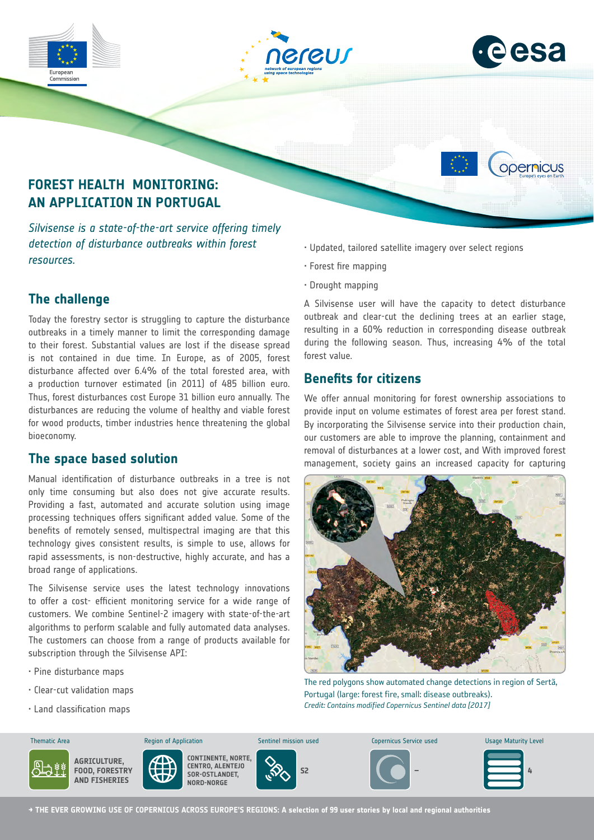

*Silvisense is a state-of-the-art service offering timely detection of disturbance outbreaks within forest resources.*

# **The challenge**

Today the forestry sector is struggling to capture the disturbance outbreaks in a timely manner to limit the corresponding damage to their forest. Substantial values are lost if the disease spread is not contained in due time. In Europe, as of 2005, forest disturbance affected over 6.4% of the total forested area, with a production turnover estimated (in 2011) of 485 billion euro. Thus, forest disturbances cost Europe 31 billion euro annually. The disturbances are reducing the volume of healthy and viable forest for wood products, timber industries hence threatening the global bioeconomy.

# **The space based solution**

Manual identification of disturbance outbreaks in a tree is not only time consuming but also does not give accurate results. Providing a fast, automated and accurate solution using image processing techniques offers significant added value. Some of the benefits of remotely sensed, multispectral imaging are that this technology gives consistent results, is simple to use, allows for rapid assessments, is non-destructive, highly accurate, and has a broad range of applications.

The Silvisense service uses the latest technology innovations to offer a cost- efficient monitoring service for a wide range of customers. We combine Sentinel-2 imagery with state-of-the-art algorithms to perform scalable and fully automated data analyses. The customers can choose from a range of products available for subscription through the Silvisense API:

- Pine disturbance maps
- $\cdot$  Clear-cut validation maps
- .<br>Indiciastification maps
- Updated, tailored satellite imagery over select regions
- Forest fire mapping
- Drought mapping

A Silvisense user will have the capacity to detect disturbance outbreak and clear-cut the declining trees at an earlier stage, resulting in a 60% reduction in corresponding disease outbreak during the following season. Thus, increasing 4% of the total forest value.

# **Benefits for citizens**

We offer annual monitoring for forest ownership associations to provide input on volume estimates of forest area per forest stand. By incorporating the Silvisense service into their production chain, our customers are able to improve the planning, containment and removal of disturbances at a lower cost, and With improved forest management, society gains an increased capacity for capturing



The red polygons show automated change detections in region of Sertã, Portugal (large: forest fire, small: disease outbreaks). *Credit: Contains modified Copernicus Sentinel data [2017]*



**→ THE EVER GROWING USE OF COPERNICUS ACROSS EUROPE'S REGIONS: A selection of 99 user stories by local and regional authorities**